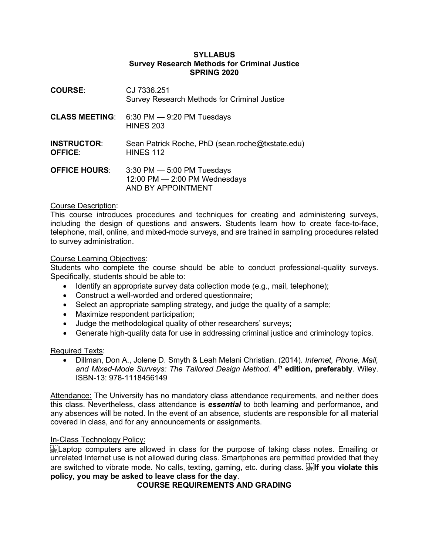#### **SYLLABUS Survey Research Methods for Criminal Justice SPRING 2020**

| <b>COURSE:</b>                       | CJ 7336.251<br>Survey Research Methods for Criminal Justice                            |
|--------------------------------------|----------------------------------------------------------------------------------------|
| <b>CLASS MEETING:</b>                | $6:30$ PM $-9:20$ PM Tuesdays<br><b>HINES 203</b>                                      |
| <b>INSTRUCTOR:</b><br><b>OFFICE:</b> | Sean Patrick Roche, PhD (sean.roche@txstate.edu)<br><b>HINES 112</b>                   |
| <b>OFFICE HOURS:</b>                 | $3:30$ PM $-5:00$ PM Tuesdays<br>12:00 PM $-$ 2:00 PM Wednesdays<br>AND BY APPOINTMENT |

#### Course Description:

This course introduces procedures and techniques for creating and administering surveys, including the design of questions and answers. Students learn how to create face-to-face, telephone, mail, online, and mixed-mode surveys, and are trained in sampling procedures related to survey administration.

#### Course Learning Objectives:

Students who complete the course should be able to conduct professional-quality surveys. Specifically, students should be able to:

- Identify an appropriate survey data collection mode (e.g., mail, telephone);
- Construct a well-worded and ordered questionnaire;
- Select an appropriate sampling strategy, and judge the quality of a sample;
- Maximize respondent participation;
- Judge the methodological quality of other researchers' surveys;
- Generate high-quality data for use in addressing criminal justice and criminology topics.

#### Required Texts:

• Dillman, Don A., Jolene D. Smyth & Leah Melani Christian. (2014). *Internet, Phone, Mail, and Mixed-Mode Surveys: The Tailored Design Method*. **4th edition, preferably**. Wiley. ISBN-13: 978-1118456149

Attendance: The University has no mandatory class attendance requirements, and neither does this class. Nevertheless, class attendance is *essential* to both learning and performance, and any absences will be noted. In the event of an absence*,* students are responsible for all material covered in class, and for any announcements or assignments.

#### In-Class Technology Policy:

 Laptop computers are allowed in class for the purpose of taking class notes. Emailing or unrelated Internet use is not allowed during class. Smartphones are permitted provided that they are switched to vibrate mode. No calls, texting, gaming, etc. during class**. If you violate this policy, you may be asked to leave class for the day**.

## **COURSE REQUIREMENTS AND GRADING**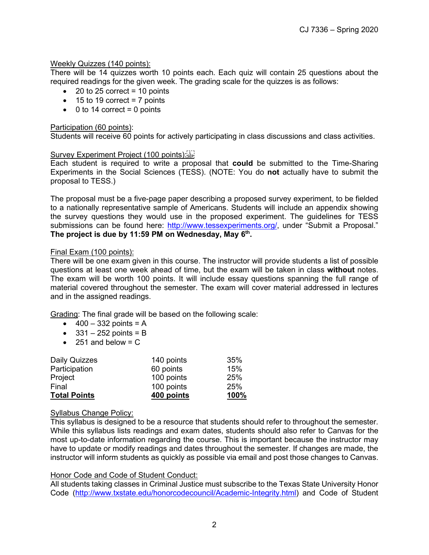## Weekly Quizzes (140 points):

There will be 14 quizzes worth 10 points each. Each quiz will contain 25 questions about the required readings for the given week. The grading scale for the quizzes is as follows:

- $\bullet$  20 to 25 correct = 10 points
- $\bullet$  15 to 19 correct = 7 points
- $\bullet$  0 to 14 correct = 0 points

## Participation (60 points):

Students will receive 60 points for actively participating in class discussions and class activities.

## Survey Experiment Project (100 points): SEP!

Each student is required to write a proposal that **could** be submitted to the Time-Sharing Experiments in the Social Sciences (TESS). (NOTE: You do **not** actually have to submit the proposal to TESS.)

The proposal must be a five-page paper describing a proposed survey experiment, to be fielded to a nationally representative sample of Americans. Students will include an appendix showing the survey questions they would use in the proposed experiment. The guidelines for TESS submissions can be found here: [http://www.tessexperiments.org/,](http://www.tessexperiments.org/) under "Submit a Proposal." The project is due by 11:59 PM on Wednesday, May 6<sup>th</sup>.

## Final Exam (100 points):

There will be one exam given in this course. The instructor will provide students a list of possible questions at least one week ahead of time, but the exam will be taken in class **without** notes. The exam will be worth 100 points. It will include essay questions spanning the full range of material covered throughout the semester. The exam will cover material addressed in lectures and in the assigned readings.

Grading: The final grade will be based on the following scale:

- $400 332$  points = A
- $\bullet$  331 252 points = B
- $\bullet$  251 and below = C

| Daily Quizzes       | 140 points | 35%  |
|---------------------|------------|------|
| Participation       | 60 points  | 15%  |
| Project             | 100 points | 25%  |
| Final               | 100 points | 25%  |
| <b>Total Points</b> | 400 points | 100% |

## Syllabus Change Policy:

This syllabus is designed to be a resource that students should refer to throughout the semester. While this syllabus lists readings and exam dates, students should also refer to Canvas for the most up-to-date information regarding the course. This is important because the instructor may have to update or modify readings and dates throughout the semester. If changes are made, the instructor will inform students as quickly as possible via email and post those changes to Canvas.

## Honor Code and Code of Student Conduct:

All students taking classes in Criminal Justice must subscribe to the Texas State University Honor Code [\(http://www.txstate.edu/honorcodecouncil/Academic-Integrity.html\)](http://www.txstate.edu/honorcodecouncil/Academic-Integrity.html) and Code of Student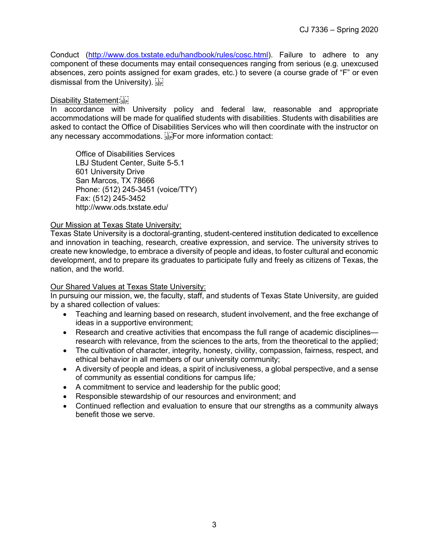Conduct [\(http://www.dos.txstate.edu/handbook/rules/cosc.html\)](http://www.dos.txstate.edu/handbook/rules/cosc.html). Failure to adhere to any component of these documents may entail consequences ranging from serious (e.g. unexcused absences, zero points assigned for exam grades, etc.) to severe (a course grade of "F" or even dismissal from the University).  $\frac{1}{35}$ 

#### Disability Statement:

In accordance with University policy and federal law, reasonable and appropriate accommodations will be made for qualified students with disabilities. Students with disabilities are asked to contact the Office of Disabilities Services who will then coordinate with the instructor on any necessary accommodations. For more information contact:

Office of Disabilities Services LBJ Student Center, Suite 5-5.1 601 University Drive San Marcos, TX 78666 Phone: (512) 245-3451 (voice/TTY) Fax: (512) 245-3452 http://www.ods.txstate.edu/

#### Our Mission at Texas State University:

Texas State University is a doctoral-granting, student-centered institution dedicated to excellence and innovation in teaching, research, creative expression, and service. The university strives to create new knowledge, to embrace a diversity of people and ideas, to foster cultural and economic development, and to prepare its graduates to participate fully and freely as citizens of Texas, the nation, and the world.

## Our Shared Values at Texas State University:

In pursuing our mission, we, the faculty, staff, and students of Texas State University, are guided by a shared collection of values:

- Teaching and learning based on research, student involvement, and the free exchange of ideas in a supportive environment;
- Research and creative activities that encompass the full range of academic disciplines research with relevance, from the sciences to the arts, from the theoretical to the applied;
- The cultivation of character, integrity, honesty, civility, compassion, fairness, respect, and ethical behavior in all members of our university community;
- A diversity of people and ideas, a spirit of inclusiveness, a global perspective, and a sense of community as essential conditions for campus life*;*
- A commitment to service and leadership for the public good;
- Responsible stewardship of our resources and environment; and
- Continued reflection and evaluation to ensure that our strengths as a community always benefit those we serve.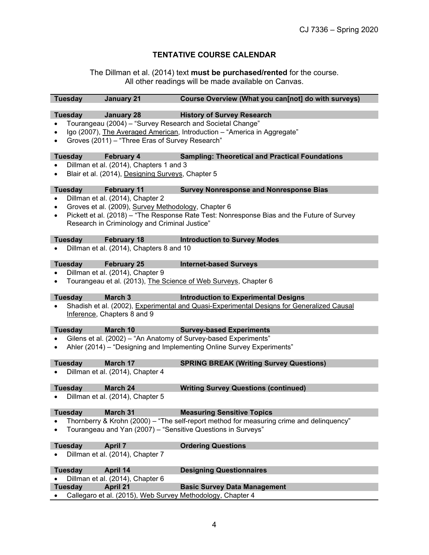# **TENTATIVE COURSE CALENDAR**

The Dillman et al. (2014) text **must be purchased/rented** for the course. All other readings will be made available on Canvas.

|           | <b>Tuesday</b>                                                           | <b>January 21</b>                                 | Course Overview (What you can[not] do with surveys)                                        |  |  |
|-----------|--------------------------------------------------------------------------|---------------------------------------------------|--------------------------------------------------------------------------------------------|--|--|
|           |                                                                          |                                                   |                                                                                            |  |  |
|           | <b>Tuesday</b>                                                           | <b>January 28</b>                                 | <b>History of Survey Research</b>                                                          |  |  |
|           |                                                                          |                                                   | Tourangeau (2004) - "Survey Research and Societal Change"                                  |  |  |
| $\bullet$ | Igo (2007), The Averaged American, Introduction - "America in Aggregate" |                                                   |                                                                                            |  |  |
| $\bullet$ |                                                                          | Groves (2011) - "Three Eras of Survey Research"   |                                                                                            |  |  |
|           |                                                                          |                                                   |                                                                                            |  |  |
|           | <b>Tuesday</b>                                                           | <b>February 4</b>                                 | <b>Sampling: Theoretical and Practical Foundations</b>                                     |  |  |
|           |                                                                          | Dillman et al. (2014), Chapters 1 and 3           |                                                                                            |  |  |
| $\bullet$ |                                                                          | Blair et al. (2014), Designing Surveys, Chapter 5 |                                                                                            |  |  |
|           |                                                                          |                                                   |                                                                                            |  |  |
|           | <b>Tuesday</b>                                                           | <b>February 11</b>                                | <b>Survey Nonresponse and Nonresponse Bias</b>                                             |  |  |
| $\bullet$ |                                                                          | Dillman et al. (2014), Chapter 2                  |                                                                                            |  |  |
| $\bullet$ |                                                                          |                                                   | Groves et al. (2009), Survey Methodology, Chapter 6                                        |  |  |
| $\bullet$ |                                                                          |                                                   | Pickett et al. (2018) – "The Response Rate Test: Nonresponse Bias and the Future of Survey |  |  |
|           |                                                                          | Research in Criminology and Criminal Justice"     |                                                                                            |  |  |
|           | <b>Tuesday</b>                                                           | <b>February 18</b>                                | <b>Introduction to Survey Modes</b>                                                        |  |  |
|           |                                                                          | Dillman et al. (2014), Chapters 8 and 10          |                                                                                            |  |  |
|           |                                                                          |                                                   |                                                                                            |  |  |
|           | <b>Tuesday</b>                                                           | <b>February 25</b>                                | <b>Internet-based Surveys</b>                                                              |  |  |
|           |                                                                          | Dillman et al. (2014), Chapter 9                  |                                                                                            |  |  |
|           |                                                                          |                                                   | Tourangeau et al. (2013), The Science of Web Surveys, Chapter 6                            |  |  |
|           |                                                                          |                                                   |                                                                                            |  |  |
|           | <b>Tuesday</b>                                                           | March 3                                           | <b>Introduction to Experimental Designs</b>                                                |  |  |
|           |                                                                          |                                                   | Shadish et al. (2002), Experimental and Quasi-Experimental Designs for Generalized Causal  |  |  |
|           |                                                                          | Inference, Chapters 8 and 9                       |                                                                                            |  |  |
|           |                                                                          |                                                   |                                                                                            |  |  |
|           | <b>Tuesday</b>                                                           | March 10                                          | <b>Survey-based Experiments</b>                                                            |  |  |
|           |                                                                          |                                                   | Gilens et al. (2002) - "An Anatomy of Survey-based Experiments"                            |  |  |
| $\bullet$ |                                                                          |                                                   | Ahler (2014) - "Designing and Implementing Online Survey Experiments"                      |  |  |
|           |                                                                          |                                                   |                                                                                            |  |  |
|           | <b>Tuesday</b>                                                           | March 17                                          | <b>SPRING BREAK (Writing Survey Questions)</b>                                             |  |  |
|           |                                                                          | Dillman et al. (2014), Chapter 4                  |                                                                                            |  |  |
|           | <b>Tuesday</b>                                                           | March 24                                          |                                                                                            |  |  |
|           |                                                                          | Dillman et al. (2014), Chapter 5                  | <b>Writing Survey Questions (continued)</b>                                                |  |  |
|           |                                                                          |                                                   |                                                                                            |  |  |
|           | <b>Tuesday</b>                                                           | March 31                                          | <b>Measuring Sensitive Topics</b>                                                          |  |  |
|           |                                                                          |                                                   | Thornberry & Krohn (2000) – "The self-report method for measuring crime and delinquency"   |  |  |
|           |                                                                          |                                                   | Tourangeau and Yan (2007) - "Sensitive Questions in Surveys"                               |  |  |
|           |                                                                          |                                                   |                                                                                            |  |  |
|           | <b>Tuesday</b>                                                           | <b>April 7</b>                                    | <b>Ordering Questions</b>                                                                  |  |  |
|           |                                                                          | Dillman et al. (2014), Chapter 7                  |                                                                                            |  |  |
|           |                                                                          |                                                   |                                                                                            |  |  |
|           | <b>Tuesday</b>                                                           | April 14                                          | <b>Designing Questionnaires</b>                                                            |  |  |
|           |                                                                          | Dillman et al. (2014), Chapter 6                  |                                                                                            |  |  |
|           | <b>Tuesday</b>                                                           | <b>April 21</b>                                   | <b>Basic Survey Data Management</b>                                                        |  |  |
|           |                                                                          |                                                   | Callegaro et al. (2015), Web Survey Methodology, Chapter 4                                 |  |  |
|           |                                                                          |                                                   |                                                                                            |  |  |